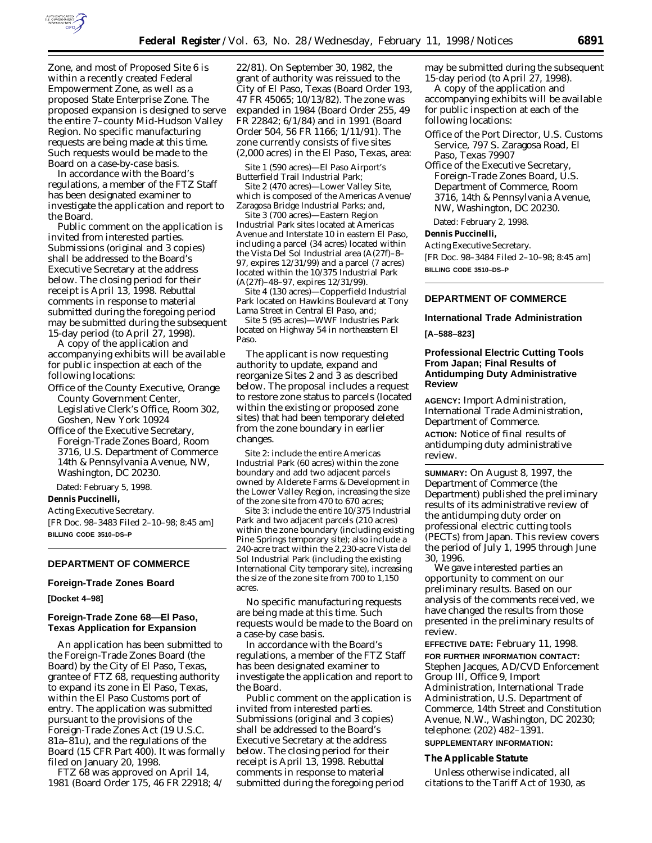

Zone, and most of Proposed Site 6 is within a recently created Federal Empowerment Zone, as well as a proposed State Enterprise Zone. The proposed expansion is designed to serve the entire 7–county Mid-Hudson Valley Region. No specific manufacturing requests are being made at this time. Such requests would be made to the Board on a case-by-case basis.

In accordance with the Board's regulations, a member of the FTZ Staff has been designated examiner to investigate the application and report to the Board.

Public comment on the application is invited from interested parties. Submissions (original and 3 copies) shall be addressed to the Board's Executive Secretary at the address below. The closing period for their receipt is April 13, 1998. Rebuttal comments in response to material submitted during the foregoing period may be submitted during the subsequent 15-day period (to April 27, 1998).

A copy of the application and accompanying exhibits will be available for public inspection at each of the following locations:

- Office of the County Executive, Orange County Government Center, Legislative Clerk's Office, Room 302, Goshen, New York 10924
- Office of the Executive Secretary, Foreign-Trade Zones Board, Room 3716, U.S. Department of Commerce 14th & Pennsylvania Avenue, NW, Washington, DC 20230.

Dated: February 5, 1998.

#### **Dennis Puccinelli,**

*Acting Executive Secretary.* [FR Doc. 98–3483 Filed 2–10–98; 8:45 am] **BILLING CODE 3510–DS–P**

#### **DEPARTMENT OF COMMERCE**

## **Foreign-Trade Zones Board**

## **[Docket 4–98]**

# **Foreign-Trade Zone 68—El Paso, Texas Application for Expansion**

An application has been submitted to the Foreign-Trade Zones Board (the Board) by the City of El Paso, Texas, grantee of FTZ 68, requesting authority to expand its zone in El Paso, Texas, within the El Paso Customs port of entry. The application was submitted pursuant to the provisions of the Foreign-Trade Zones Act (19 U.S.C. 81a–81u), and the regulations of the Board (15 CFR Part 400). It was formally filed on January 20, 1998.

FTZ 68 was approved on April 14, 1981 (Board Order 175, 46 FR 22918; 4/ 22/81). On September 30, 1982, the grant of authority was reissued to the City of El Paso, Texas (Board Order 193, 47 FR 45065; 10/13/82). The zone was expanded in 1984 (Board Order 255, 49 FR 22842; 6/1/84) and in 1991 (Board Order 504, 56 FR 1166; 1/11/91). The zone currently consists of five sites (2,000 acres) in the El Paso, Texas, area:

*Site 1* (590 acres)—El Paso Airport's Butterfield Trail Industrial Park;

*Site 2* (470 acres)—Lower Valley Site, which is composed of the Americas Avenue/ Zaragosa Bridge Industrial Parks; and,

*Site 3* (700 acres)—Eastern Region Industrial Park sites located at Americas Avenue and Interstate 10 in eastern El Paso, including a parcel (34 acres) located within the Vista Del Sol Industrial area (A(27f)–8– 97, expires 12/31/99) and a parcel (7 acres) located within the 10/375 Industrial Park (A(27f)–48–97, expires 12/31/99).

*Site 4* (130 acres)—Copperfield Industrial Park located on Hawkins Boulevard at Tony Lama Street in Central El Paso, and;

*Site 5* (95 acres)—WWF Industries Park located on Highway 54 in northeastern El Paso.

The applicant is now requesting authority to update, expand and reorganize Sites 2 and 3 as described below. The proposal includes a request to restore zone status to parcels (located within the existing or proposed zone sites) that had been temporary deleted from the zone boundary in earlier changes.

*Site 2:* include the entire Americas Industrial Park (60 acres) within the zone boundary and add two adjacent parcels owned by Alderete Farms & Development in the Lower Valley Region, increasing the size of the zone site from 470 to 670 acres;

*Site 3:* include the entire 10/375 Industrial Park and two adjacent parcels (210 acres) within the zone boundary (including existing Pine Springs temporary site); also include a 240-acre tract within the 2,230-acre Vista del Sol Industrial Park (including the existing International City temporary site), increasing the size of the zone site from 700 to 1,150 acres.

No specific manufacturing requests are being made at this time. Such requests would be made to the Board on a case-by case basis.

In accordance with the Board's regulations, a member of the FTZ Staff has been designated examiner to investigate the application and report to the Board.

Public comment on the application is invited from interested parties. Submissions (original and 3 copies) shall be addressed to the Board's Executive Secretary at the address below. The closing period for their receipt is April 13, 1998. Rebuttal comments in response to material submitted during the foregoing period

may be submitted during the subsequent 15-day period (to April 27, 1998).

A copy of the application and accompanying exhibits will be available for public inspection at each of the following locations:

Office of the Port Director, U.S. Customs Service, 797 S. Zaragosa Road, El Paso, Texas 79907

Office of the Executive Secretary, Foreign-Trade Zones Board, U.S. Department of Commerce, Room 3716, 14th & Pennsylvania Avenue, NW, Washington, DC 20230.

Dated: February 2, 1998.

# **Dennis Puccinelli,**

*Acting Executive Secretary.* [FR Doc. 98–3484 Filed 2–10–98; 8:45 am] **BILLING CODE 3510–DS–P**

# **DEPARTMENT OF COMMERCE**

# **International Trade Administration**

# **[A–588–823]**

# **Professional Electric Cutting Tools From Japan; Final Results of Antidumping Duty Administrative Review**

**AGENCY:** Import Administration, International Trade Administration, Department of Commerce. **ACTION:** Notice of final results of antidumping duty administrative review.

**SUMMARY:** On August 8, 1997, the Department of Commerce (the Department) published the preliminary results of its administrative review of the antidumping duty order on professional electric cutting tools (PECTs) from Japan. This review covers the period of July 1, 1995 through June 30, 1996.

We gave interested parties an opportunity to comment on our preliminary results. Based on our analysis of the comments received, we have changed the results from those presented in the preliminary results of review.

**EFFECTIVE DATE:** February 11, 1998. **FOR FURTHER INFORMATION CONTACT:** Stephen Jacques, AD/CVD Enforcement Group III, Office 9, Import Administration, International Trade Administration, U.S. Department of Commerce, 14th Street and Constitution Avenue, N.W., Washington, DC 20230; telephone: (202) 482–1391.

# **SUPPLEMENTARY INFORMATION:**

# **The Applicable Statute**

Unless otherwise indicated, all citations to the Tariff Act of 1930, as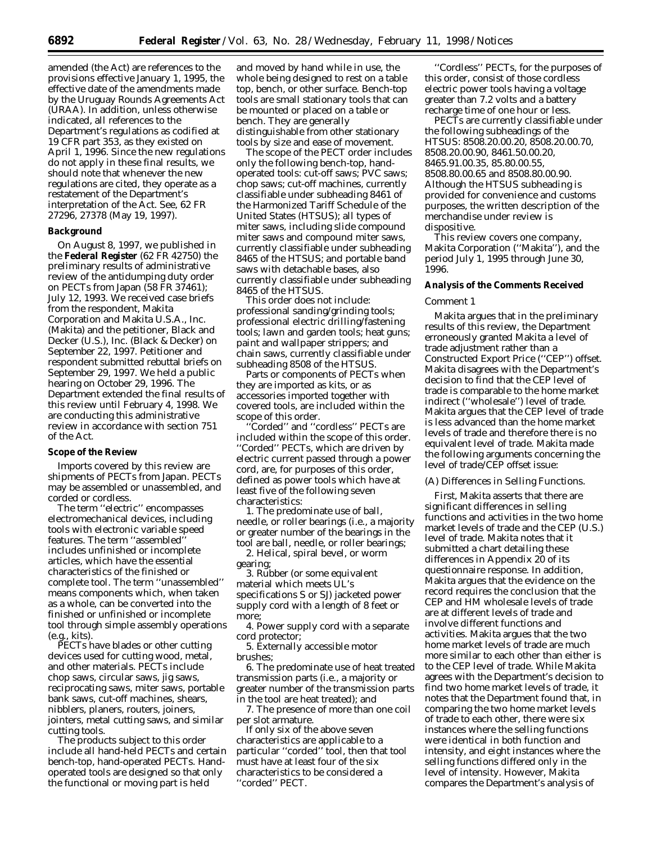amended (the Act) are references to the provisions effective January 1, 1995, the effective date of the amendments made by the Uruguay Rounds Agreements Act (URAA). In addition, unless otherwise indicated, all references to the Department's regulations as codified at 19 CFR part 353, as they existed on April 1, 1996. Since the new regulations do not apply in these final results, we should note that whenever the new regulations are cited, they operate as a restatement of the Department's interpretation of the Act. See, 62 FR 27296, 27378 (May 19, 1997).

## **Background**

On August 8, 1997, we published in the **Federal Register** (62 FR 42750) the preliminary results of administrative review of the antidumping duty order on PECTs from Japan (58 FR 37461); July 12, 1993. We received case briefs from the respondent, Makita Corporation and Makita U.S.A., Inc. (Makita) and the petitioner, Black and Decker (U.S.), Inc. (Black & Decker) on September 22, 1997. Petitioner and respondent submitted rebuttal briefs on September 29, 1997. We held a public hearing on October 29, 1996. The Department extended the final results of this review until February 4, 1998. We are conducting this administrative review in accordance with section 751 of the Act.

## **Scope of the Review**

Imports covered by this review are shipments of PECTs from Japan. PECTs may be assembled or unassembled, and corded or cordless.

The term ''electric'' encompasses electromechanical devices, including tools with electronic variable speed features. The term ''assembled'' includes unfinished or incomplete articles, which have the essential characteristics of the finished or complete tool. The term ''unassembled'' means components which, when taken as a whole, can be converted into the finished or unfinished or incomplete tool through simple assembly operations (*e.g.,* kits).

PECTs have blades or other cutting devices used for cutting wood, metal, and other materials. PECTs include chop saws, circular saws, jig saws, reciprocating saws, miter saws, portable bank saws, cut-off machines, shears, nibblers, planers, routers, joiners, jointers, metal cutting saws, and similar cutting tools.

The products subject to this order include all hand-held PECTs and certain bench-top, hand-operated PECTs. Handoperated tools are designed so that only the functional or moving part is held

and moved by hand while in use, the whole being designed to rest on a table top, bench, or other surface. Bench-top tools are small stationary tools that can be mounted or placed on a table or bench. They are generally distinguishable from other stationary tools by size and ease of movement.

The scope of the PECT order includes only the following bench-top, handoperated tools: cut-off saws; PVC saws; chop saws; cut-off machines, currently classifiable under subheading 8461 of the Harmonized Tariff Schedule of the United States (HTSUS); all types of miter saws, including slide compound miter saws and compound miter saws, currently classifiable under subheading 8465 of the HTSUS; and portable band saws with detachable bases, also currently classifiable under subheading 8465 of the HTSUS.

This order does not include: professional sanding/grinding tools; professional electric drilling/fastening tools; lawn and garden tools; heat guns; paint and wallpaper strippers; and chain saws, currently classifiable under subheading 8508 of the HTSUS.

Parts or components of PECTs when they are imported as kits, or as accessories imported together with covered tools, are included within the scope of this order.

''Corded'' and ''cordless'' PECTs are included within the scope of this order. ''Corded'' PECTs, which are driven by electric current passed through a power cord, are, for purposes of this order, defined as power tools which have at least five of the following seven characteristics:

1. The predominate use of ball, needle, or roller bearings (*i.e.,* a majority or greater number of the bearings in the tool are ball, needle, or roller bearings;

2. Helical, spiral bevel, or worm gearing;

3. Rubber (or some equivalent material which meets UL's specifications S or SJ) jacketed power supply cord with a length of 8 feet or more;

4. Power supply cord with a separate cord protector;

5. Externally accessible motor brushes;

6. The predominate use of heat treated transmission parts (*i.e.,* a majority or greater number of the transmission parts in the tool are heat treated); and

7. The presence of more than one coil per slot armature.

If only six of the above seven characteristics are applicable to a particular ''corded'' tool, then that tool must have at least four of the six characteristics to be considered a ''corded'' PECT.

''Cordless'' PECTs, for the purposes of this order, consist of those cordless electric power tools having a voltage greater than 7.2 volts and a battery recharge time of one hour or less.

PECTs are currently classifiable under the following subheadings of the HTSUS: 8508.20.00.20, 8508.20.00.70, 8508.20.00.90, 8461.50.00.20, 8465.91.00.35, 85.80.00.55, 8508.80.00.65 and 8508.80.00.90. Although the HTSUS subheading is provided for convenience and customs purposes, the written description of the merchandise under review is dispositive.

This review covers one company, Makita Corporation (''Makita''), and the period July 1, 1995 through June 30, 1996.

# **Analysis of the Comments Received**

#### *Comment 1*

Makita argues that in the preliminary results of this review, the Department erroneously granted Makita a level of trade adjustment rather than a Constructed Export Price (''CEP'') offset. Makita disagrees with the Department's decision to find that the CEP level of trade is comparable to the home market indirect (''wholesale'') level of trade. Makita argues that the CEP level of trade is less advanced than the home market levels of trade and therefore there is no equivalent level of trade. Makita made the following arguments concerning the level of trade/CEP offset issue:

## (A) Differences in Selling Functions.

First, Makita asserts that there are significant differences in selling functions and activities in the two home market levels of trade and the CEP (U.S.) level of trade. Makita notes that it submitted a chart detailing these differences in Appendix 20 of its questionnaire response. In addition, Makita argues that the evidence on the record requires the conclusion that the CEP and HM wholesale levels of trade are at different levels of trade and involve different functions and activities. Makita argues that the two home market levels of trade are much more similar to each other than either is to the CEP level of trade. While Makita agrees with the Department's decision to find two home market levels of trade, it notes that the Department found that, in comparing the two home market levels of trade to each other, there were six instances where the selling functions were identical in both function and intensity, and eight instances where the selling functions differed only in the level of intensity. However, Makita compares the Department's analysis of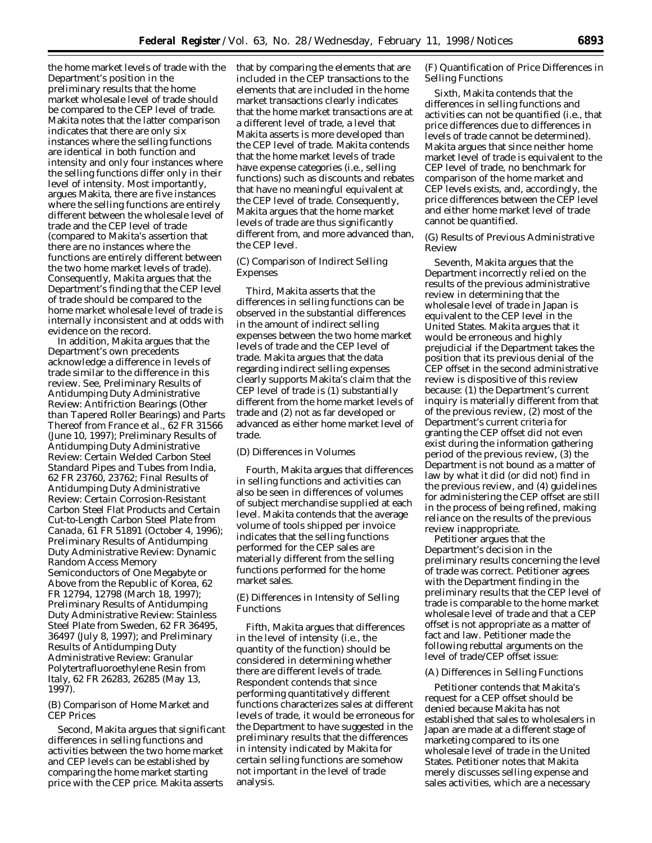the home market levels of trade with the Department's position in the preliminary results that the home market wholesale level of trade should be compared to the CEP level of trade. Makita notes that the latter comparison indicates that there are only six instances where the selling functions are identical in both function and intensity and only four instances where the selling functions differ only in their level of intensity. Most importantly, argues Makita, there are five instances where the selling functions are entirely different between the wholesale level of trade and the CEP level of trade (compared to Makita's assertion that there are no instances where the functions are entirely different between the two home market levels of trade). Consequently, Makita argues that the Department's finding that the CEP level of trade should be compared to the home market wholesale level of trade is internally inconsistent and at odds with evidence on the record.

In addition, Makita argues that the Department's own precedents acknowledge a difference in levels of trade similar to the difference in this review. *See, Preliminary Results of Antidumping Duty Administrative Review: Antifriction Bearings (Other than Tapered Roller Bearings) and Parts Thereof from France et al.,* 62 FR 31566 (June 10, 1997); *Preliminary Results of Antidumping Duty Administrative Review: Certain Welded Carbon Steel Standard Pipes and Tubes from India,* 62 FR 23760, 23762; *Final Results of Antidumping Duty Administrative Review: Certain Corrosion-Resistant Carbon Steel Flat Products and Certain Cut-to-Length Carbon Steel Plate from Canada,* 61 FR 51891 (October 4, 1996); *Preliminary Results of Antidumping Duty Administrative Review: Dynamic Random Access Memory Semiconductors of One Megabyte or Above from the Republic of Korea,* 62 FR 12794, 12798 (March 18, 1997); *Preliminary Results of Antidumping Duty Administrative Review: Stainless Steel Plate from Sweden,* 62 FR 36495, 36497 (July 8, 1997); and *Preliminary Results of Antidumping Duty Administrative Review: Granular Polytertrafluoroethylene Resin from Italy,* 62 FR 26283, 26285 (May 13, 1997).

# (B) Comparison of Home Market and CEP Prices

Second, Makita argues that significant differences in selling functions and activities between the two home market and CEP levels can be established by comparing the home market starting price with the CEP price. Makita asserts

that by comparing the elements that are included in the CEP transactions to the elements that are included in the home market transactions clearly indicates that the home market transactions are at a different level of trade, a level that Makita asserts is more developed than the CEP level of trade. Makita contends that the home market levels of trade have expense categories (*i.e.,* selling functions) such as discounts and rebates that have no meaningful equivalent at the CEP level of trade. Consequently, Makita argues that the home market levels of trade are thus significantly different from, and more advanced than, the CEP level.

# (C) Comparison of Indirect Selling Expenses

Third, Makita asserts that the differences in selling functions can be observed in the substantial differences in the amount of indirect selling expenses between the two home market levels of trade and the CEP level of trade. Makita argues that the data regarding indirect selling expenses clearly supports Makita's claim that the CEP level of trade is (1) substantially different from the home market levels of trade and (2) not as far developed or advanced as either home market level of trade.

# (D) Differences in Volumes

Fourth, Makita argues that differences in selling functions and activities can also be seen in differences of volumes of subject merchandise supplied at each level. Makita contends that the average volume of tools shipped per invoice indicates that the selling functions performed for the CEP sales are materially different from the selling functions performed for the home market sales.

# (E) Differences in Intensity of Selling Functions

Fifth, Makita argues that differences in the level of intensity (*i.e.,* the quantity of the function) should be considered in determining whether there are different levels of trade. Respondent contends that since performing quantitatively different functions characterizes sales at different levels of trade, it would be erroneous for the Department to have suggested in the preliminary results that the differences in intensity indicated by Makita for certain selling functions are somehow not important in the level of trade analysis.

(F) Quantification of Price Differences in Selling Functions

Sixth, Makita contends that the differences in selling functions and activities can not be quantified (*i.e.,* that price differences due to differences in levels of trade cannot be determined). Makita argues that since neither home market level of trade is equivalent to the CEP level of trade, no benchmark for comparison of the home market and CEP levels exists, and, accordingly, the price differences between the CEP level and either home market level of trade cannot be quantified.

(G) Results of Previous Administrative Review

Seventh, Makita argues that the Department incorrectly relied on the results of the previous administrative review in determining that the wholesale level of trade in Japan is equivalent to the CEP level in the United States. Makita argues that it would be erroneous and highly prejudicial if the Department takes the position that its previous denial of the CEP offset in the second administrative review is dispositive of this review because: (1) the Department's current inquiry is materially different from that of the previous review, (2) most of the Department's current criteria for granting the CEP offset did not even exist during the information gathering period of the previous review, (3) the Department is not bound as a matter of law by what it did (or did not) find in the previous review, and (4) guidelines for administering the CEP offset are still in the process of being refined, making reliance on the results of the previous review inappropriate.

Petitioner argues that the Department's decision in the preliminary results concerning the level of trade was correct. Petitioner agrees with the Department finding in the preliminary results that the CEP level of trade is comparable to the home market wholesale level of trade and that a CEP offset is not appropriate as a matter of fact and law. Petitioner made the following rebuttal arguments on the level of trade/CEP offset issue:

#### (A) Differences in Selling Functions

Petitioner contends that Makita's request for a CEP offset should be denied because Makita has not established that sales to wholesalers in Japan are made at a different stage of marketing compared to its one wholesale level of trade in the United States. Petitioner notes that Makita merely discusses selling expense and sales activities, which are a necessary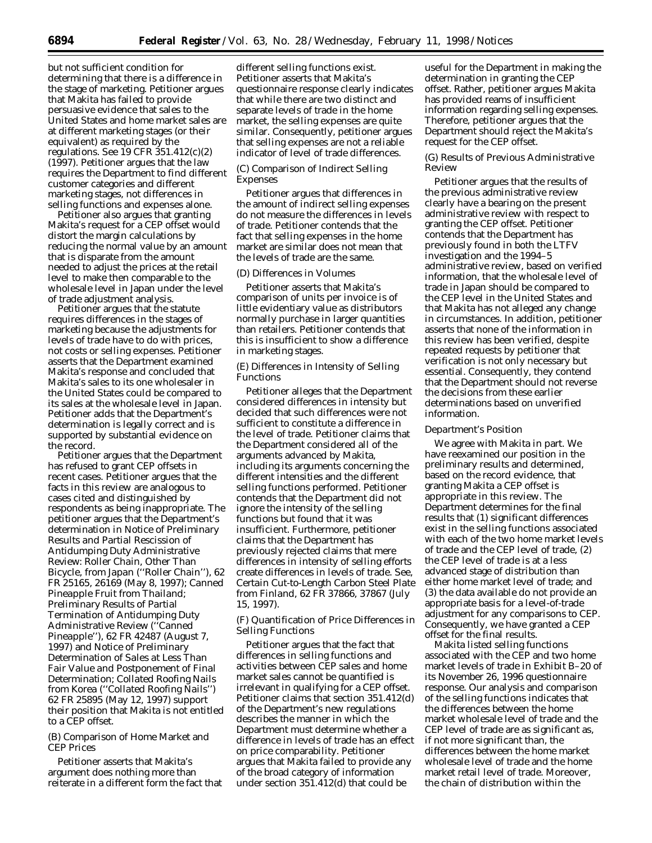but not sufficient condition for determining that there is a difference in the stage of marketing. Petitioner argues that Makita has failed to provide persuasive evidence that sales to the United States and home market sales are at different marketing stages (or their equivalent) as required by the regulations. *See* 19 CFR 351.412(c)(2) (1997). Petitioner argues that the law requires the Department to find different customer categories and different marketing stages, not differences in selling functions and expenses alone.

Petitioner also argues that granting Makita's request for a CEP offset would distort the margin calculations by reducing the normal value by an amount that is disparate from the amount needed to adjust the prices at the retail level to make then comparable to the wholesale level in Japan under the level of trade adjustment analysis.

Petitioner argues that the statute requires differences in the stages of marketing because the adjustments for levels of trade have to do with prices, not costs or selling expenses. Petitioner asserts that the Department examined Makita's response and concluded that Makita's sales to its one wholesaler in the United States could be compared to its sales at the wholesale level in Japan. Petitioner adds that the Department's determination is legally correct and is supported by substantial evidence on the record.

Petitioner argues that the Department has refused to grant CEP offsets in recent cases. Petitioner argues that the facts in this review are analogous to cases cited and distinguished by respondents as being inappropriate. The petitioner argues that the Department's determination in *Notice of Preliminary Results and Partial Rescission of Antidumping Duty Administrative Review: Roller Chain, Other Than Bicycle, from Japan (''Roller Chain''),* 62 FR 25165, 26169 (May 8, 1997); *Canned Pineapple Fruit from Thailand; Preliminary Results of Partial Termination of Antidumping Duty Administrative Review (''Canned Pineapple''),* 62 FR 42487 (August 7, 1997) and *Notice of Preliminary Determination of Sales at Less Than Fair Value and Postponement of Final Determination; Collated Roofing Nails from Korea (''Collated Roofing Nails'')* 62 FR 25895 (May 12, 1997) support their position that Makita is not entitled to a CEP offset.

# (B) Comparison of Home Market and CEP Prices

Petitioner asserts that Makita's argument does nothing more than reiterate in a different form the fact that

different selling functions exist. Petitioner asserts that Makita's questionnaire response clearly indicates that while there are two distinct and separate levels of trade in the home market, the selling expenses are quite similar. Consequently, petitioner argues that selling expenses are not a reliable indicator of level of trade differences.

# (C) Comparison of Indirect Selling Expenses

Petitioner argues that differences in the amount of indirect selling expenses do not measure the differences in levels of trade. Petitioner contends that the fact that selling expenses in the home market are similar does not mean that the levels of trade are the same.

# (D) Differences in Volumes

Petitioner asserts that Makita's comparison of units per invoice is of little evidentiary value as distributors normally purchase in larger quantities than retailers. Petitioner contends that this is insufficient to show a difference in marketing stages.

(E) Differences in Intensity of Selling Functions

Petitioner alleges that the Department considered differences in intensity but decided that such differences were not sufficient to constitute a difference in the level of trade. Petitioner claims that the Department considered all of the arguments advanced by Makita, including its arguments concerning the different intensities and the different selling functions performed. Petitioner contends that the Department did not ignore the intensity of the selling functions but found that it was insufficient. Furthermore, petitioner claims that the Department has previously rejected claims that mere differences in intensity of selling efforts create differences in levels of trade. *See, Certain Cut-to-Length Carbon Steel Plate from Finland,* 62 FR 37866, 37867 (July 15, 1997).

(F) Quantification of Price Differences in Selling Functions

Petitioner argues that the fact that differences in selling functions and activities between CEP sales and home market sales cannot be quantified is irrelevant in qualifying for a CEP offset. Petitioner claims that section 351.412(d) of the Department's new regulations describes the manner in which the Department must determine whether a difference in levels of trade has an effect on price comparability. Petitioner argues that Makita failed to provide any of the broad category of information under section 351.412(d) that could be

useful for the Department in making the determination in granting the CEP offset. Rather, petitioner argues Makita has provided reams of insufficient information regarding selling expenses. Therefore, petitioner argues that the Department should reject the Makita's request for the CEP offset.

# (G) Results of Previous Administrative Review

Petitioner argues that the results of the previous administrative review clearly have a bearing on the present administrative review with respect to granting the CEP offset. Petitioner contends that the Department has previously found in both the LTFV investigation and the 1994–5 administrative review, based on verified information, that the wholesale level of trade in Japan should be compared to the CEP level in the United States and that Makita has not alleged any change in circumstances. In addition, petitioner asserts that none of the information in this review has been verified, despite repeated requests by petitioner that verification is not only necessary but essential. Consequently, they contend that the Department should not reverse the decisions from these earlier determinations based on unverified information.

## *Department's Position*

We agree with Makita in part. We have reexamined our position in the preliminary results and determined, based on the record evidence, that granting Makita a CEP offset is appropriate in this review. The Department determines for the final results that (1) significant differences exist in the selling functions associated with each of the two home market levels of trade and the CEP level of trade, (2) the CEP level of trade is at a less advanced stage of distribution than either home market level of trade; and (3) the data available do not provide an appropriate basis for a level-of-trade adjustment for any comparisons to CEP. Consequently, we have granted a CEP offset for the final results.

Makita listed selling functions associated with the CEP and two home market levels of trade in Exhibit B–20 of its November 26, 1996 questionnaire response. Our analysis and comparison of the selling functions indicates that the differences between the home market wholesale level of trade and the CEP level of trade are as significant as, if not more significant than, the differences between the home market wholesale level of trade and the home market retail level of trade. Moreover, the chain of distribution within the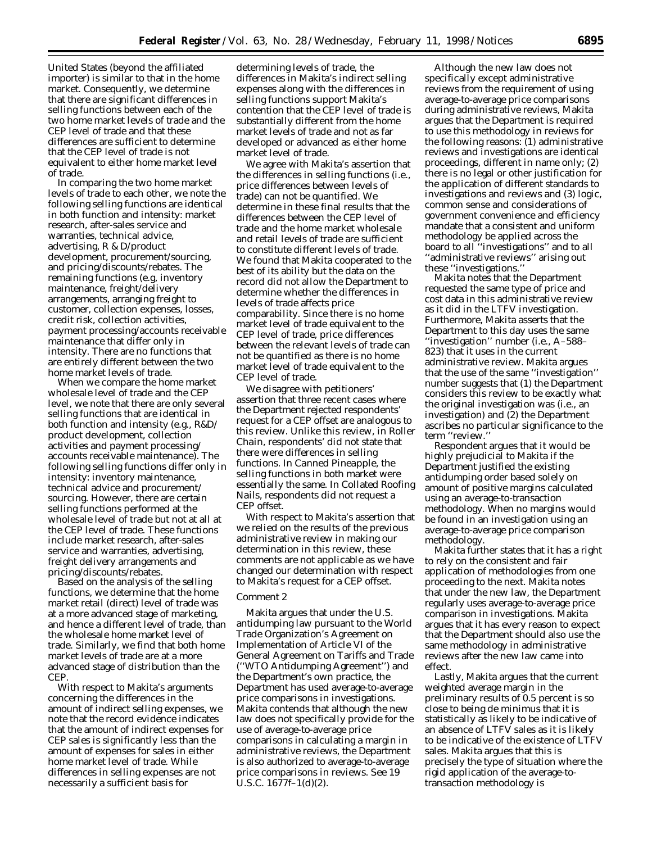United States (beyond the affiliated importer) is similar to that in the home market. Consequently, we determine that there are significant differences in selling functions between each of the two home market levels of trade and the CEP level of trade and that these differences are sufficient to determine that the CEP level of trade is not equivalent to either home market level of trade.

In comparing the two home market levels of trade to each other, we note the following selling functions are identical in both function and intensity: market research, after-sales service and warranties, technical advice, advertising, R & D/product development, procurement/sourcing, and pricing/discounts/rebates. The remaining functions (*e.g,* inventory maintenance, freight/delivery arrangements, arranging freight to customer, collection expenses, losses, credit risk, collection activities, payment processing/accounts receivable maintenance that differ only in intensity. There are no functions that are entirely different between the two home market levels of trade.

When we compare the home market wholesale level of trade and the CEP level, we note that there are only several selling functions that are identical in both function and intensity (*e.g.,* R&D/ product development, collection activities and payment processing/ accounts receivable maintenance). The following selling functions differ only in intensity: inventory maintenance, technical advice and procurement/ sourcing. However, there are certain selling functions performed at the wholesale level of trade but not at all at the CEP level of trade. These functions include market research, after-sales service and warranties, advertising, freight delivery arrangements and pricing/discounts/rebates.

Based on the analysis of the selling functions, we determine that the home market retail (direct) level of trade was at a more advanced stage of marketing, and hence a different level of trade, than the wholesale home market level of trade. Similarly, we find that both home market levels of trade are at a more advanced stage of distribution than the CEP.

With respect to Makita's arguments concerning the differences in the amount of indirect selling expenses, we note that the record evidence indicates that the amount of indirect expenses for CEP sales is significantly less than the amount of expenses for sales in either home market level of trade. While differences in selling expenses are not necessarily a sufficient basis for

determining levels of trade, the differences in Makita's indirect selling expenses along with the differences in selling functions support Makita's contention that the CEP level of trade is substantially different from the home market levels of trade and not as far developed or advanced as either home market level of trade.

We agree with Makita's assertion that the differences in selling functions (*i.e.,* price differences between levels of trade) can not be quantified. We determine in these final results that the differences between the CEP level of trade and the home market wholesale and retail levels of trade are sufficient to constitute different levels of trade. We found that Makita cooperated to the best of its ability but the data on the record did not allow the Department to determine whether the differences in levels of trade affects price comparability. Since there is no home market level of trade equivalent to the CEP level of trade, price differences between the relevant levels of trade can not be quantified as there is no home market level of trade equivalent to the CEP level of trade.

We disagree with petitioners' assertion that three recent cases where the Department rejected respondents' request for a CEP offset are analogous to this review. Unlike this review, in *Roller Chain*, respondents' did not state that there were differences in selling functions. In *Canned Pineapple*, the selling functions in both market were essentially the same. In Collated *Roofing Nails*, respondents did not request a CEP offset.

With respect to Makita's assertion that we relied on the results of the previous administrative review in making our determination in this review, these comments are not applicable as we have changed our determination with respect to Makita's request for a CEP offset.

#### *Comment 2*

Makita argues that under the U.S. antidumping law pursuant to the World Trade Organization's Agreement on Implementation of Article VI of the General Agreement on Tariffs and Trade (''WTO Antidumping Agreement'') and the Department's own practice, the Department has used average-to-average price comparisons in investigations. Makita contends that although the new law does not specifically provide for the use of average-to-average price comparisons in calculating a margin in administrative reviews, the Department is also authorized to average-to-average price comparisons in reviews. *See* 19 U.S.C. 1677f–1(d)(2).

Although the new law does not specifically except administrative reviews from the requirement of using average-to-average price comparisons during administrative reviews, Makita argues that the Department is required to use this methodology in reviews for the following reasons: (1) administrative reviews and investigations are identical proceedings, different in name only; (2) there is no legal or other justification for the application of different standards to investigations and reviews and (3) logic, common sense and considerations of government convenience and efficiency mandate that a consistent and uniform methodology be applied across the board to all ''investigations'' and to all ''administrative reviews'' arising out these ''investigations.''

Makita notes that the Department requested the same type of price and cost data in this administrative review as it did in the LTFV investigation. Furthermore, Makita asserts that the Department to this day uses the same ''investigation'' number (*i.e.*, A–588– 823) that it uses in the current administrative review. Makita argues that the use of the same ''investigation'' number suggests that (1) the Department considers this review to be exactly what the original investigation was (*i.e.*, an investigation) and (2) the Department ascribes no particular significance to the term ''review.''

Respondent argues that it would be highly prejudicial to Makita if the Department justified the existing antidumping order based solely on amount of positive margins calculated using an average-to-transaction methodology. When no margins would be found in an investigation using an average-to-average price comparison methodology.

Makita further states that it has a right to rely on the consistent and fair application of methodologies from one proceeding to the next. Makita notes that under the new law, the Department regularly uses average-to-average price comparison in investigations. Makita argues that it has every reason to expect that the Department should also use the same methodology in administrative reviews after the new law came into effect.

Lastly, Makita argues that the current weighted average margin in the preliminary results of 0.5 percent is so close to being de minimus that it is statistically as likely to be indicative of an absence of LTFV sales as it is likely to be indicative of the existence of LTFV sales. Makita argues that this is precisely the type of situation where the rigid application of the average-totransaction methodology is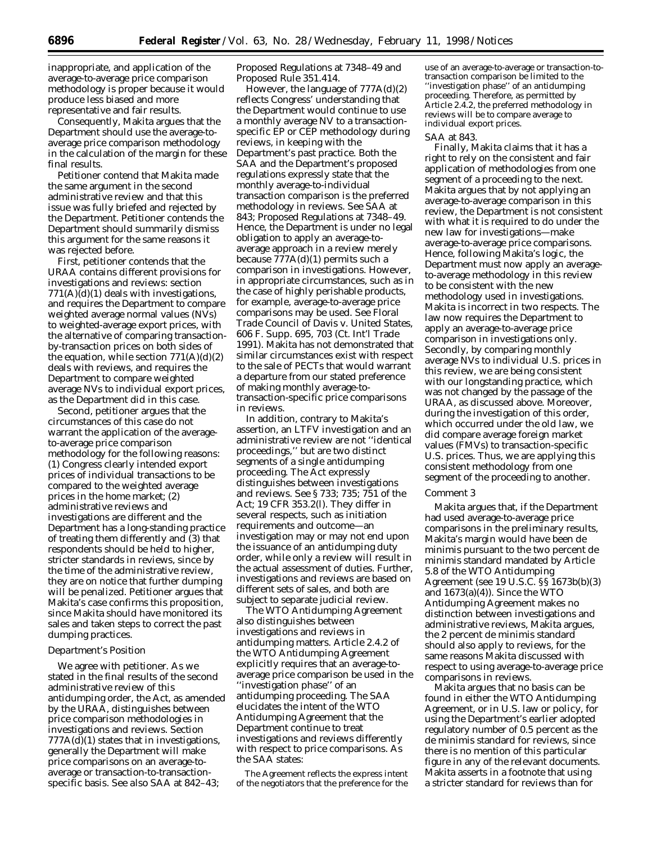inappropriate, and application of the average-to-average price comparison methodology is proper because it would produce less biased and more representative and fair results.

Consequently, Makita argues that the Department should use the average-toaverage price comparison methodology in the calculation of the margin for these final results.

Petitioner contend that Makita made the same argument in the second administrative review and that this issue was fully briefed and rejected by the Department. Petitioner contends the Department should summarily dismiss this argument for the same reasons it was rejected before.

First, petitioner contends that the URAA contains different provisions for investigations and reviews: section  $771(A)(d)(1)$  deals with investigations, and requires the Department to compare weighted average normal values (NVs) to weighted-average export prices, with the alternative of comparing transactionby-transaction prices on both sides of the equation, while section  $771(A)(d)(2)$ deals with reviews, and requires the Department to compare weighted average NVs to individual export prices, as the Department did in this case.

Second, petitioner argues that the circumstances of this case do not warrant the application of the averageto-average price comparison methodology for the following reasons: (1) Congress clearly intended export prices of individual transactions to be compared to the weighted average prices in the home market; (2) administrative reviews and investigations are different and the Department has a long-standing practice of treating them differently and (3) that respondents should be held to higher, stricter standards in reviews, since by the time of the administrative review, they are on notice that further dumping will be penalized. Petitioner argues that Makita's case confirms this proposition, since Makita should have monitored its sales and taken steps to correct the past dumping practices.

#### *Department's Position*

We agree with petitioner. As we stated in the final results of the second administrative review of this antidumping order, the Act, as amended by the URAA, distinguishes between price comparison methodologies in investigations and reviews. Section 777A(d)(1) states that in investigations, generally the Department will make price comparisons on an average-toaverage or transaction-to-transactionspecific basis. *See also* SAA at 842–43;

*Proposed Regulations* at 7348–49 and Proposed Rule 351.414.

However, the language of 777A(d)(2) reflects Congress' understanding that the Department would continue to use a monthly average NV to a transactionspecific EP or CEP methodology during reviews, in keeping with the Department's past practice. Both the SAA and the Department's proposed regulations expressly state that the monthly average-to-individual transaction comparison is the preferred methodology in reviews. *See* SAA at 843; *Proposed Regulations* at 7348–49. Hence, the Department is under no legal obligation to apply an average-toaverage approach in a review merely because 777A(d)(1) permits such a comparison in investigations. However, in appropriate circumstances, such as in the case of highly perishable products, for example, average-to-average price comparisons may be used. *See Floral Trade Council of Davis* v. *United States*, 606 F. Supp. 695, 703 (Ct. Int'l Trade 1991). Makita has not demonstrated that similar circumstances exist with respect to the sale of PECTs that would warrant a departure from our stated preference of making monthly average-totransaction-specific price comparisons in reviews.

In addition, contrary to Makita's assertion, an LTFV investigation and an administrative review are not ''identical proceedings,'' but are two distinct segments of a single antidumping proceeding. The Act expressly distinguishes between investigations and reviews. *See* § 733; 735; 751 of the Act; 19 CFR 353.2(l). They differ in several respects, such as initiation requirements and outcome—an investigation may or may not end upon the issuance of an antidumping duty order, while only a review will result in the actual assessment of duties. Further, investigations and reviews are based on different sets of sales, and both are subject to separate judicial review.

The WTO Antidumping Agreement also distinguishes between investigations and reviews in antidumping matters. Article 2.4.2 of the WTO Antidumping Agreement explicitly requires that an average-toaverage price comparison be used in the ''investigation phase'' of an antidumping proceeding. The SAA elucidates the intent of the WTO Antidumping Agreement that the Department continue to treat investigations and reviews differently with respect to price comparisons. As the SAA states:

The Agreement reflects the express intent of the negotiators that the preference for the

use of an average-to-average or transaction-totransaction comparison be limited to the ''investigation phase'' of an antidumping proceeding. Therefore, as permitted by Article 2.4.2, the preferred methodology in reviews will be to compare average to individual export prices.

#### SAA at 843.

Finally, Makita claims that it has a right to rely on the consistent and fair application of methodologies from one segment of a proceeding to the next. Makita argues that by not applying an average-to-average comparison in this review, the Department is not consistent with what it is required to do under the new law for investigations—make average-to-average price comparisons. Hence, following Makita's logic, the Department must now apply an averageto-average methodology in this review to be consistent with the new methodology used in investigations. Makita is incorrect in two respects. The law now requires the Department to apply an average-to-average price comparison in investigations only. Secondly, by comparing monthly average NVs to individual U.S. prices in this review, we are being consistent with our longstanding practice, which was not changed by the passage of the URAA, as discussed above. Moreover, during the investigation of this order, which occurred under the old law, we did compare average foreign market values (FMVs) to transaction-specific U.S. prices. Thus, we are applying this consistent methodology from one segment of the proceeding to another.

#### *Comment 3*

Makita argues that, if the Department had used average-to-average price comparisons in the preliminary results, Makita's margin would have been *de minimis* pursuant to the two percent *de minimis* standard mandated by Article 5.8 of the WTO Antidumping Agreement (*see* 19 U.S.C. §§ 1673b(b)(3) and  $1673(a)(4)$ ). Since the WTO Antidumping Agreement makes no distinction between investigations and administrative reviews, Makita argues, the 2 percent *de minimis* standard should also apply to reviews, for the same reasons Makita discussed with respect to using average-to-average price comparisons in reviews.

Makita argues that no basis can be found in either the WTO Antidumping Agreement, or in U.S. law or policy, for using the Department's earlier adopted regulatory number of 0.5 percent as the *de minimis* standard for reviews, since there is no mention of this particular figure in any of the relevant documents. Makita asserts in a footnote that using a stricter standard for reviews than for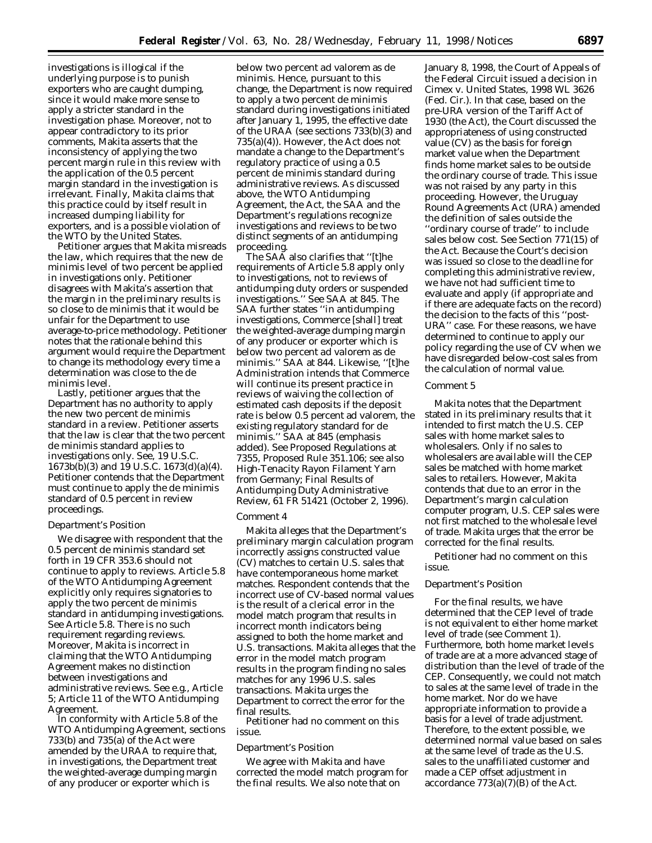investigations is illogical if the underlying purpose is to punish exporters who are caught dumping, since it would make more sense to apply a stricter standard in the investigation phase. Moreover, not to appear contradictory to its prior comments, Makita asserts that the inconsistency of applying the two percent margin rule in this review with the application of the 0.5 percent margin standard in the investigation is irrelevant. Finally, Makita claims that this practice could by itself result in increased dumping liability for exporters, and is a possible violation of the WTO by the United States.

Petitioner argues that Makita misreads the law, which requires that the new *de minimis* level of two percent be applied in investigations only. Petitioner disagrees with Makita's assertion that the margin in the preliminary results is so close to *de minimis* that it would be unfair for the Department to use average-to-price methodology. Petitioner notes that the rationale behind this argument would require the Department to change its methodology every time a determination was close to the *de minimis* level.

Lastly, petitioner argues that the Department has no authority to apply the new two percent *de minimis* standard in a review. Petitioner asserts that the law is clear that the two percent *de minimis* standard applies to investigations only. *See,* 19 U.S.C.  $1673b(\bar{b})(3)$  and  $1\bar{9}$  U.S.C.  $1673(d)(a)(4)$ . Petitioner contends that the Department must continue to apply the *de minimis* standard of 0.5 percent in review proceedings.

#### *Department's Position*

We disagree with respondent that the 0.5 percent *de minimis* standard set forth in 19 CFR 353.6 should not continue to apply to reviews. Article 5.8 of the WTO Antidumping Agreement explicitly only requires signatories to apply the two percent *de minimis* standard in antidumping investigations. *See* Article 5.8. There is no such requirement regarding reviews. Moreover, Makita is incorrect in claiming that the WTO Antidumping Agreement makes no distinction between investigations and administrative reviews. *See e.g.,* Article 5; Article 11 of the WTO Antidumping Agreement.

In conformity with Article 5.8 of the WTO Antidumping Agreement, sections 733(b) and 735(a) of the Act were amended by the URAA to require that, in investigations, the Department treat the weighted-average dumping margin of any producer or exporter which is

below two percent *ad valorem* as *de minimis.* Hence, pursuant to this change, the Department is now required to apply a two percent *de minimis* standard during *investigations* initiated after January 1, 1995, the effective date of the URAA (*see* sections 733(b)(3) and 735(a)(4)). However, the Act does not mandate a change to the Department's regulatory practice of using a 0.5 percent *de minimis* standard during administrative reviews. As discussed above, the WTO Antidumping Agreement, the Act, the SAA and the Department's regulations recognize investigations and reviews to be two distinct segments of an antidumping proceeding.

The SAA also clarifies that ''[t]he requirements of Article 5.8 apply only to investigations, not to reviews of antidumping duty orders or suspended investigations.'' *See* SAA at 845. The SAA further states ''in antidumping investigations, Commerce [shall] treat the weighted-average dumping margin of any producer or exporter which is below two percent *ad valorem* as *de minimis*.'' SAA at 844. Likewise, ''[t]he Administration intends that Commerce will continue its present practice in reviews of waiving the collection of estimated cash deposits if the deposit rate is below 0.5 percent ad valorem, the existing regulatory standard for *de minimis.*'' SAA at 845 (emphasis added). *See Proposed Regulations* at 7355, Proposed Rule 351.106; *see also High-Tenacity Rayon Filament Yarn from Germany; Final Results of Antidumping Duty Administrative Review,* 61 FR 51421 (October 2, 1996).

### *Comment 4*

Makita alleges that the Department's preliminary margin calculation program incorrectly assigns constructed value (CV) matches to certain U.S. sales that have contemporaneous home market matches. Respondent contends that the incorrect use of CV-based normal values is the result of a clerical error in the model match program that results in incorrect month indicators being assigned to both the home market and U.S. transactions. Makita alleges that the error in the model match program results in the program finding no sales matches for any 1996 U.S. sales transactions. Makita urges the Department to correct the error for the final results.

Petitioner had no comment on this issue.

## *Department's Position*

We agree with Makita and have corrected the model match program for the final results. We also note that on

January 8, 1998, the Court of Appeals of the Federal Circuit issued a decision in *Cimex* v. *United States,* 1998 WL 3626 (Fed. Cir.). In that case, based on the pre-URA version of the Tariff Act of 1930 (the Act), the Court discussed the appropriateness of using constructed value (CV) as the basis for foreign market value when the Department finds home market sales to be outside the ordinary course of trade. This issue was not raised by any party in this proceeding. However, the Uruguay Round Agreements Act (URA) amended the definition of sales outside the ''ordinary course of trade'' to include sales below cost. *See* Section 771(15) of the Act. Because the Court's decision was issued so close to the deadline for completing this administrative review, we have not had sufficient time to evaluate and apply (if appropriate and if there are adequate facts on the record) the decision to the facts of this ''post-URA'' case. For these reasons, we have determined to continue to apply our policy regarding the use of CV when we have disregarded below-cost sales from the calculation of normal value.

# *Comment 5*

Makita notes that the Department stated in its preliminary results that it intended to first match the U.S. CEP sales with home market sales to wholesalers. Only if no sales to wholesalers are available will the CEP sales be matched with home market sales to retailers. However, Makita contends that due to an error in the Department's margin calculation computer program, U.S. CEP sales were not first matched to the wholesale level of trade. Makita urges that the error be corrected for the final results.

Petitioner had no comment on this issue.

## *Department's Position*

For the final results, we have determined that the CEP level of trade is not equivalent to either home market level of trade (see Comment 1). Furthermore, both home market levels of trade are at a more advanced stage of distribution than the level of trade of the CEP. Consequently, we could not match to sales at the same level of trade in the home market. Nor do we have appropriate information to provide a basis for a level of trade adjustment. Therefore, to the extent possible, we determined normal value based on sales at the same level of trade as the U.S. sales to the unaffiliated customer and made a CEP offset adjustment in accordance  $773(a)(7)(B)$  of the Act.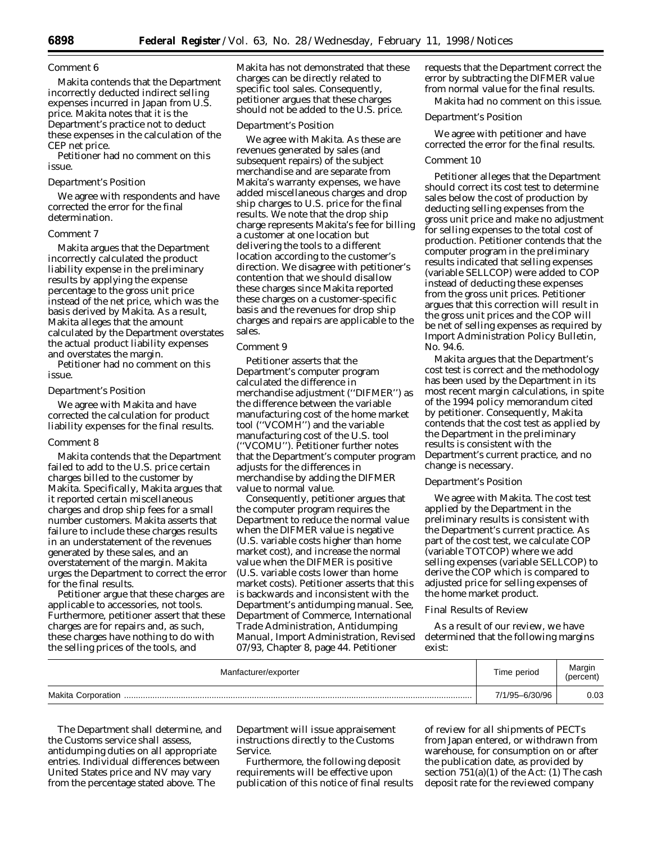## *Comment 6*

Makita contends that the Department incorrectly deducted indirect selling expenses incurred in Japan from U.S. price. Makita notes that it is the Department's practice not to deduct these expenses in the calculation of the CEP net price.

Petitioner had no comment on this issue.

## *Department's Position*

We agree with respondents and have corrected the error for the final determination.

# *Comment 7*

Makita argues that the Department incorrectly calculated the product liability expense in the preliminary results by applying the expense percentage to the gross unit price instead of the net price, which was the basis derived by Makita. As a result, Makita alleges that the amount calculated by the Department overstates the actual product liability expenses and overstates the margin.

Petitioner had no comment on this issue.

## *Department's Position*

We agree with Makita and have corrected the calculation for product liability expenses for the final results.

## *Comment 8*

Makita contends that the Department failed to add to the U.S. price certain charges billed to the customer by Makita. Specifically, Makita argues that it reported certain miscellaneous charges and drop ship fees for a small number customers. Makita asserts that failure to include these charges results in an understatement of the revenues generated by these sales, and an overstatement of the margin. Makita urges the Department to correct the error for the final results.

Petitioner argue that these charges are applicable to accessories, not tools. Furthermore, petitioner assert that these charges are for repairs and, as such, these charges have nothing to do with the selling prices of the tools, and

Makita has not demonstrated that these charges can be directly related to specific tool sales. Consequently, petitioner argues that these charges should not be added to the U.S. price.

## *Department's Position*

We agree with Makita. As these are revenues generated by sales (and subsequent repairs) of the subject merchandise and are separate from Makita's warranty expenses, we have added miscellaneous charges and drop ship charges to U.S. price for the final results. We note that the drop ship charge represents Makita's fee for billing a customer at one location but delivering the tools to a different location according to the customer's direction. We disagree with petitioner's contention that we should disallow these charges since Makita reported these charges on a customer-specific basis and the revenues for drop ship charges and repairs are applicable to the sales.

## *Comment 9*

Petitioner asserts that the Department's computer program calculated the difference in merchandise adjustment (''DIFMER'') as the difference between the variable manufacturing cost of the home market tool (''VCOMH'') and the variable manufacturing cost of the U.S. tool (''VCOMU''). Petitioner further notes that the Department's computer program adjusts for the differences in merchandise by adding the DIFMER value to normal value.

Consequently, petitioner argues that the computer program requires the Department to reduce the normal value when the DIFMER value is negative (U.S. variable costs higher than home market cost), and increase the normal value when the DIFMER is positive (U.S. variable costs lower than home market costs). Petitioner asserts that this is backwards and inconsistent with the Department's antidumping manual. *See, Department of Commerce, International Trade Administration, Antidumping Manual, Import Administration,* Revised 07/93, Chapter 8, page 44. Petitioner

requests that the Department correct the error by subtracting the DIFMER value from normal value for the final results. Makita had no comment on this issue.

# *Department's Position*

We agree with petitioner and have corrected the error for the final results.

## *Comment 10*

Petitioner alleges that the Department should correct its cost test to determine sales below the cost of production by deducting selling expenses from the gross unit price and make no adjustment for selling expenses to the total cost of production. Petitioner contends that the computer program in the preliminary results indicated that selling expenses (variable SELLCOP) were added to COP instead of deducting these expenses from the gross unit prices. Petitioner argues that this correction will result in the gross unit prices and the COP will be net of selling expenses as required by Import Administration Policy Bulletin, No. 94.6.

Makita argues that the Department's cost test is correct and the methodology has been used by the Department in its most recent margin calculations, in spite of the 1994 policy memorandum cited by petitioner. Consequently, Makita contends that the cost test as applied by the Department in the preliminary results is consistent with the Department's current practice, and no change is necessary.

#### *Department's Position*

We agree with Makita. The cost test applied by the Department in the preliminary results is consistent with the Department's current practice. As part of the cost test, we calculate COP (variable TOTCOP) where we add selling expenses (variable SELLCOP) to derive the COP which is compared to adjusted price for selling expenses of the home market product.

## Final Results of Review

As a result of our review, we have determined that the following margins exist:

| Manfacturer/exporter      | Time period    | Margin<br>(percent) |
|---------------------------|----------------|---------------------|
| <b>Makita Corporation</b> | 7/1/95-6/30/96 | 0.03                |

The Department shall determine, and the Customs service shall assess, antidumping duties on all appropriate entries. Individual differences between United States price and NV may vary from the percentage stated above. The

Department will issue appraisement instructions directly to the Customs Service.

Furthermore, the following deposit requirements will be effective upon publication of this notice of final results

of review for all shipments of PECTs from Japan entered, or withdrawn from warehouse, for consumption on or after the publication date, as provided by section  $751(a)(1)$  of the Act: (1) The cash deposit rate for the reviewed company